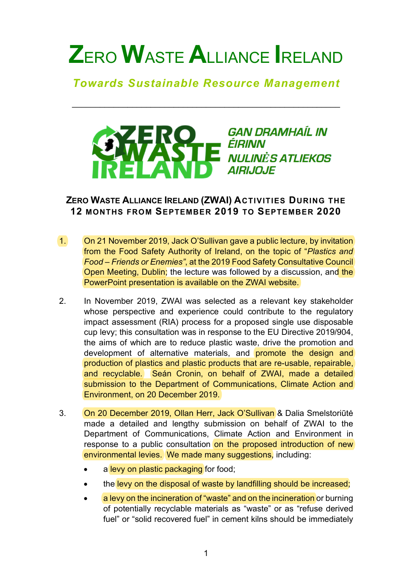## **Z**ERO **W**ASTE **A**LLIANCE **I**RELAND

## *Towards Sustainable Resource Management*

\_\_\_\_\_\_\_\_\_\_\_\_\_\_\_\_\_\_\_\_\_\_\_\_\_\_\_\_\_\_\_\_\_\_\_\_\_\_\_\_\_\_\_\_\_\_\_\_\_\_\_\_\_\_\_\_\_\_



## **ZERO WASTE ALLIANCE IRELAND (ZWAI) ACTIVITIES DURING THE 12 MONTHS FROM SEPTEMBER 2019 TO SEPTEMBER 2020**

- 1. On 21 November 2019, Jack O'Sullivan gave a public lecture, by invitation from the Food Safety Authority of Ireland, on the topic of "*Plastics and Food – Friends or Enemies"*, at the 2019 Food Safety Consultative Council Open Meeting, Dublin; the lecture was followed by a discussion, and the PowerPoint presentation is available on the ZWAI website.
- 2. In November 2019, ZWAI was selected as a relevant key stakeholder whose perspective and experience could contribute to the regulatory impact assessment (RIA) process for a proposed single use disposable cup levy; this consultation was in response to the EU Directive 2019/904, the aims of which are to reduce plastic waste, drive the promotion and development of alternative materials, and promote the design and production of plastics and plastic products that are re-usable, repairable, and recyclable. Seán Cronin, on behalf of ZWAI, made a detailed submission to the Department of Communications, Climate Action and Environment, on 20 December 2019.
- 3. On 20 December 2019, Ollan Herr, Jack O'Sullivan & Dalia Smelstoriūtė made a detailed and lengthy submission on behalf of ZWAI to the Department of Communications, Climate Action and Environment in response to a public consultation on the proposed introduction of new environmental levies. We made many suggestions, including:
	- a levy on plastic packaging for food;
	- the levy on the disposal of waste by landfilling should be increased;
	- a levy on the incineration of "waste" and on the incineration or burning of potentially recyclable materials as "waste" or as "refuse derived fuel" or "solid recovered fuel" in cement kilns should be immediately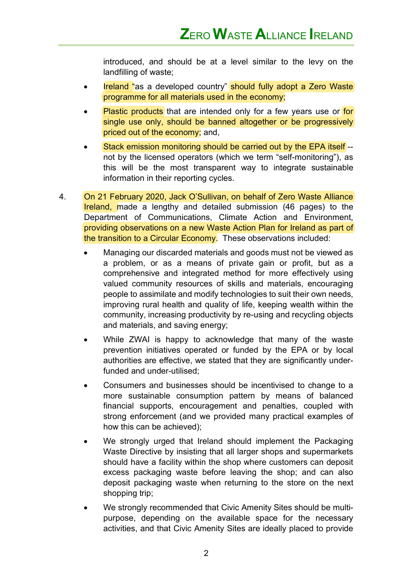introduced, and should be at a level similar to the levy on the landfilling of waste;

- Ireland "as a developed country" should fully adopt a Zero Waste programme for all materials used in the economy;
- Plastic products that are intended only for a few years use or for single use only, should be banned altogether or be progressively priced out of the economy; and,
- Stack emission monitoring should be carried out by the EPA itself -not by the licensed operators (which we term "self-monitoring"), as this will be the most transparent way to integrate sustainable information in their reporting cycles.
- 4. On 21 February 2020, Jack O'Sullivan, on behalf of Zero Waste Alliance Ireland, made a lengthy and detailed submission (46 pages) to the Department of Communications, Climate Action and Environment, providing observations on a new Waste Action Plan for Ireland as part of the transition to a Circular Economy. These observations included:
	- Managing our discarded materials and goods must not be viewed as a problem, or as a means of private gain or profit, but as a comprehensive and integrated method for more effectively using valued community resources of skills and materials, encouraging people to assimilate and modify technologies to suit their own needs, improving rural health and quality of life, keeping wealth within the community, increasing productivity by re-using and recycling objects and materials, and saving energy;
	- While ZWAI is happy to acknowledge that many of the waste prevention initiatives operated or funded by the EPA or by local authorities are effective, we stated that they are significantly underfunded and under-utilised;
	- Consumers and businesses should be incentivised to change to a more sustainable consumption pattern by means of balanced financial supports, encouragement and penalties, coupled with strong enforcement (and we provided many practical examples of how this can be achieved);
	- We strongly urged that Ireland should implement the Packaging Waste Directive by insisting that all larger shops and supermarkets should have a facility within the shop where customers can deposit excess packaging waste before leaving the shop; and can also deposit packaging waste when returning to the store on the next shopping trip;
	- We strongly recommended that Civic Amenity Sites should be multipurpose, depending on the available space for the necessary activities, and that Civic Amenity Sites are ideally placed to provide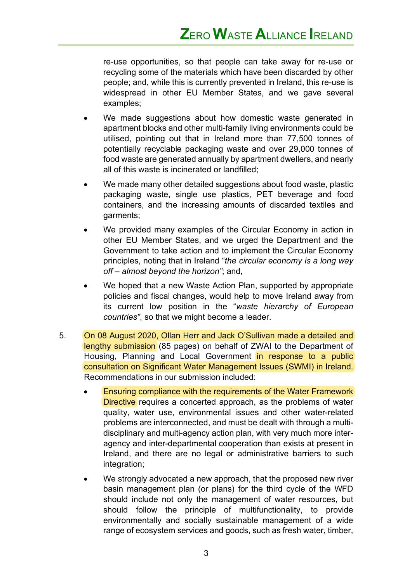re-use opportunities, so that people can take away for re-use or recycling some of the materials which have been discarded by other people; and, while this is currently prevented in Ireland, this re-use is widespread in other EU Member States, and we gave several examples;

- We made suggestions about how domestic waste generated in apartment blocks and other multi-family living environments could be utilised, pointing out that in Ireland more than 77,500 tonnes of potentially recyclable packaging waste and over 29,000 tonnes of food waste are generated annually by apartment dwellers, and nearly all of this waste is incinerated or landfilled;
- We made many other detailed suggestions about food waste, plastic packaging waste, single use plastics, PET beverage and food containers, and the increasing amounts of discarded textiles and garments;
- We provided many examples of the Circular Economy in action in other EU Member States, and we urged the Department and the Government to take action and to implement the Circular Economy principles, noting that in Ireland "*the circular economy is a long way off – almost beyond the horizon"*; and,
- We hoped that a new Waste Action Plan, supported by appropriate policies and fiscal changes, would help to move Ireland away from its current low position in the "*waste hierarchy of European countries"*, so that we might become a leader.
- 5. On 08 August 2020, Ollan Herr and Jack O'Sullivan made a detailed and lengthy submission (85 pages) on behalf of ZWAI to the Department of Housing, Planning and Local Government in response to a public consultation on Significant Water Management Issues (SWMI) in Ireland. Recommendations in our submission included:
	- Ensuring compliance with the requirements of the Water Framework Directive requires a concerted approach, as the problems of water quality, water use, environmental issues and other water-related problems are interconnected, and must be dealt with through a multidisciplinary and multi-agency action plan, with very much more interagency and inter-departmental cooperation than exists at present in Ireland, and there are no legal or administrative barriers to such integration;
	- We strongly advocated a new approach, that the proposed new river basin management plan (or plans) for the third cycle of the WFD should include not only the management of water resources, but should follow the principle of multifunctionality, to provide environmentally and socially sustainable management of a wide range of ecosystem services and goods, such as fresh water, timber,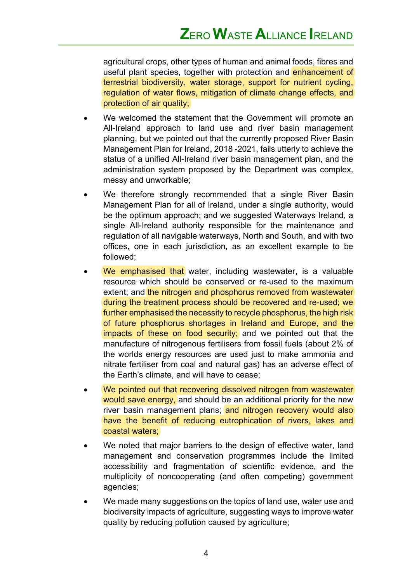agricultural crops, other types of human and animal foods, fibres and useful plant species, together with protection and enhancement of terrestrial biodiversity, water storage, support for nutrient cycling, regulation of water flows, mitigation of climate change effects, and protection of air quality;

- We welcomed the statement that the Government will promote an All-Ireland approach to land use and river basin management planning, but we pointed out that the currently proposed River Basin Management Plan for Ireland, 2018 -2021, fails utterly to achieve the status of a unified All-Ireland river basin management plan, and the administration system proposed by the Department was complex, messy and unworkable;
- We therefore strongly recommended that a single River Basin Management Plan for all of Ireland, under a single authority, would be the optimum approach; and we suggested Waterways Ireland, a single All-Ireland authority responsible for the maintenance and regulation of all navigable waterways, North and South, and with two offices, one in each jurisdiction, as an excellent example to be followed;
- We emphasised that water, including wastewater, is a valuable resource which should be conserved or re-used to the maximum extent; and the nitrogen and phosphorus removed from wastewater during the treatment process should be recovered and re-used; we further emphasised the necessity to recycle phosphorus, the high risk of future phosphorus shortages in Ireland and Europe, and the impacts of these on food security; and we pointed out that the manufacture of nitrogenous fertilisers from fossil fuels (about 2% of the worlds energy resources are used just to make ammonia and nitrate fertiliser from coal and natural gas) has an adverse effect of the Earth's climate, and will have to cease;
- We pointed out that recovering dissolved nitrogen from wastewater would save energy, and should be an additional priority for the new river basin management plans; and nitrogen recovery would also have the benefit of reducing eutrophication of rivers, lakes and coastal waters;
- We noted that major barriers to the design of effective water, land management and conservation programmes include the limited accessibility and fragmentation of scientific evidence, and the multiplicity of noncooperating (and often competing) government agencies;
- We made many suggestions on the topics of land use, water use and biodiversity impacts of agriculture, suggesting ways to improve water quality by reducing pollution caused by agriculture;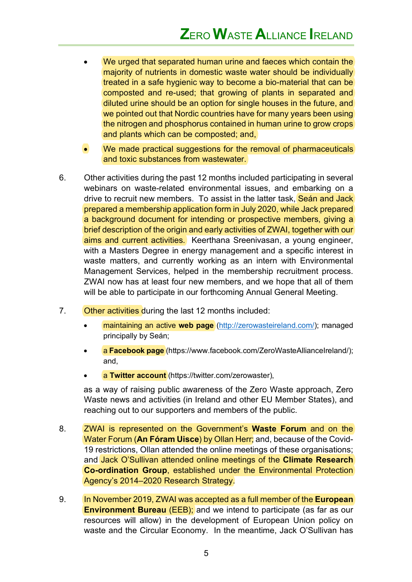- We urged that separated human urine and faeces which contain the majority of nutrients in domestic waste water should be individually treated in a safe hygienic way to become a bio-material that can be composted and re-used; that growing of plants in separated and diluted urine should be an option for single houses in the future, and we pointed out that Nordic countries have for many years been using the nitrogen and phosphorus contained in human urine to grow crops and plants which can be composted; and,
- We made practical suggestions for the removal of pharmaceuticals and toxic substances from wastewater.
- 6. Other activities during the past 12 months included participating in several webinars on waste-related environmental issues, and embarking on a drive to recruit new members. To assist in the latter task, Sean and Jack prepared a membership application form in July 2020, while Jack prepared a background document for intending or prospective members, giving a brief description of the origin and early activities of ZWAI, together with our aims and current activities. Keerthana Sreenivasan, a young engineer, with a Masters Degree in energy management and a specific interest in waste matters, and currently working as an intern with Environmental Management Services, helped in the membership recruitment process. ZWAI now has at least four new members, and we hope that all of them will be able to participate in our forthcoming Annual General Meeting.
- 7. Other activities during the last 12 months included:
	- maintaining an active **web page** (http://zerowasteireland.com/); managed principally by Seán;
	- a **Facebook page** (https://www.facebook.com/ZeroWasteAllianceIreland/); and,
	- a **Twitter account** (https://twitter.com/zerowaster),

as a way of raising public awareness of the Zero Waste approach, Zero Waste news and activities (in Ireland and other EU Member States), and reaching out to our supporters and members of the public.

- 8. ZWAI is represented on the Government's **Waste Forum** and on the Water Forum (**An Fóram Uisce**) by Ollan Herr; and, because of the Covid-19 restrictions, Ollan attended the online meetings of these organisations; and Jack O'Sullivan attended online meetings of the **Climate Research Co-ordination Group**, established under the Environmental Protection Agency's 2014–2020 Research Strategy.
- 9. In November 2019, ZWAI was accepted as a full member of the **European Environment Bureau** (EEB); and we intend to participate (as far as our resources will allow) in the development of European Union policy on waste and the Circular Economy. In the meantime, Jack O'Sullivan has